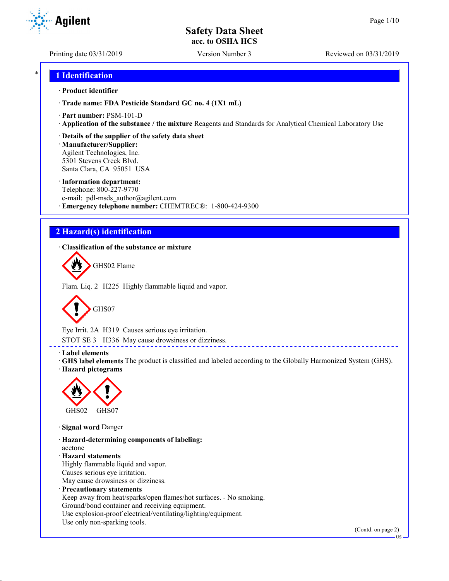**Agilent** 

Printing date 03/31/2019 Version Number 3 Reviewed on 03/31/2019

## \* **1 Identification**

## · **Product identifier**

· **Trade name: FDA Pesticide Standard GC no. 4 (1X1 mL)**

- · **Part number:** PSM-101-D
- · **Application of the substance / the mixture** Reagents and Standards for Analytical Chemical Laboratory Use
- · **Details of the supplier of the safety data sheet**

· **Manufacturer/Supplier:** Agilent Technologies, Inc. 5301 Stevens Creek Blvd. Santa Clara, CA 95051 USA

## · **Information department:**

Telephone: 800-227-9770 e-mail: pdl-msds author@agilent.com · **Emergency telephone number:** CHEMTREC®: 1-800-424-9300

# **2 Hazard(s) identification**

· **Classification of the substance or mixture**



Flam. Liq. 2 H225 Highly flammable liquid and vapor.



Eye Irrit. 2A H319 Causes serious eye irritation.

STOT SE 3 H336 May cause drowsiness or dizziness.

## · **Label elements**

· **GHS label elements** The product is classified and labeled according to the Globally Harmonized System (GHS). · **Hazard pictograms**

<u>. . . . . . . . . . . . . .</u>



· **Signal word** Danger

· **Hazard-determining components of labeling:** acetone · **Hazard statements** Highly flammable liquid and vapor. Causes serious eye irritation. May cause drowsiness or dizziness. · **Precautionary statements** Keep away from heat/sparks/open flames/hot surfaces. - No smoking. Ground/bond container and receiving equipment. Use explosion-proof electrical/ventilating/lighting/equipment. Use only non-sparking tools.

(Contd. on page 2)

US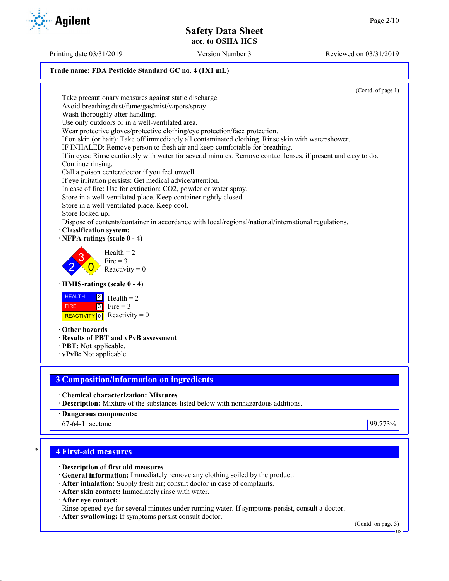## **Trade name: FDA Pesticide Standard GC no. 4 (1X1 mL)**

(Contd. of page 1) Take precautionary measures against static discharge. Avoid breathing dust/fume/gas/mist/vapors/spray Wash thoroughly after handling. Use only outdoors or in a well-ventilated area. Wear protective gloves/protective clothing/eye protection/face protection. If on skin (or hair): Take off immediately all contaminated clothing. Rinse skin with water/shower. IF INHALED: Remove person to fresh air and keep comfortable for breathing. If in eyes: Rinse cautiously with water for several minutes. Remove contact lenses, if present and easy to do. Continue rinsing. Call a poison center/doctor if you feel unwell. If eye irritation persists: Get medical advice/attention. In case of fire: Use for extinction: CO2, powder or water spray. Store in a well-ventilated place. Keep container tightly closed. Store in a well-ventilated place. Keep cool. Store locked up. Dispose of contents/container in accordance with local/regional/national/international regulations. · **Classification system:** · **NFPA ratings (scale 0 - 4)** 2 3  $\overline{0}$  $Health = 2$ Fire  $= 3$ Reactivity  $= 0$ · **HMIS-ratings (scale 0 - 4) HEALTH**  FIRE REACTIVITY  $\boxed{0}$  Reactivity = 0  $|2|$  $3$  Fire = 3  $Health = 2$ · **Other hazards** · **Results of PBT and vPvB assessment** · **PBT:** Not applicable. · **vPvB:** Not applicable.

# **3 Composition/information on ingredients**

· **Chemical characterization: Mixtures**

- · **Description:** Mixture of the substances listed below with nonhazardous additions.
- · **Dangerous components:**

67-64-1 acetone 99.773%

# \* **4 First-aid measures**

· **Description of first aid measures**

- · **General information:** Immediately remove any clothing soiled by the product.
- · **After inhalation:** Supply fresh air; consult doctor in case of complaints.
- · **After skin contact:** Immediately rinse with water.

· **After eye contact:**

- Rinse opened eye for several minutes under running water. If symptoms persist, consult a doctor.
- · **After swallowing:** If symptoms persist consult doctor.

(Contd. on page 3)



Printing date 03/31/2019 Version Number 3 Reviewed on 03/31/2019

US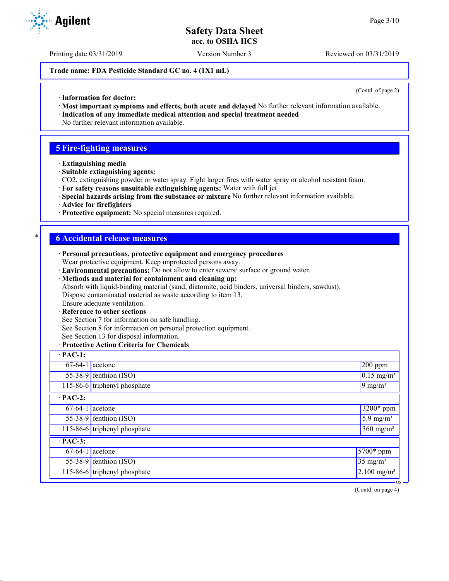Printing date 03/31/2019 Version Number 3 Reviewed on 03/31/2019

### **Trade name: FDA Pesticide Standard GC no. 4 (1X1 mL)**

(Contd. of page 2)

- · **Information for doctor:**
- · **Most important symptoms and effects, both acute and delayed** No further relevant information available.
- · **Indication of any immediate medical attention and special treatment needed** No further relevant information available.

## **5 Fire-fighting measures**

- · **Extinguishing media**
- · **Suitable extinguishing agents:**
- CO2, extinguishing powder or water spray. Fight larger fires with water spray or alcohol resistant foam.
- · **For safety reasons unsuitable extinguishing agents:** Water with full jet
- · **Special hazards arising from the substance or mixture** No further relevant information available.
- · **Advice for firefighters**
- · **Protective equipment:** No special measures required.

## \* **6 Accidental release measures**

- · **Personal precautions, protective equipment and emergency procedures** Wear protective equipment. Keep unprotected persons away.
- · **Environmental precautions:** Do not allow to enter sewers/ surface or ground water.
- · **Methods and material for containment and cleaning up:** Absorb with liquid-binding material (sand, diatomite, acid binders, universal binders, sawdust). Dispose contaminated material as waste according to item 13.
- Ensure adequate ventilation.
- **Reference to other sections**
- See Section 7 for information on safe handling.
- See Section 8 for information on personal protection equipment.
- See Section 13 for disposal information.

### · **Protective Action Criteria for Chemicals**

| $\cdot$ PAC-1:               |                                                             |                             |  |  |  |  |
|------------------------------|-------------------------------------------------------------|-----------------------------|--|--|--|--|
|                              | $67-64-1$ acetone<br>$200$ ppm                              |                             |  |  |  |  |
|                              | $55-38-9$ fenthion (ISO)<br>$\sqrt{0.15}$ mg/m <sup>3</sup> |                             |  |  |  |  |
|                              | 115-86-6 triphenyl phosphate<br>$9 \text{ mg/m}^3$          |                             |  |  |  |  |
| $\cdot$ PAC-2:               |                                                             |                             |  |  |  |  |
| $\overline{67-64-1}$ acetone |                                                             | 3200* ppm                   |  |  |  |  |
|                              | $55-38-9$ fenthion (ISO)                                    | $\sqrt{5.9 \text{ mg/m}^3}$ |  |  |  |  |
|                              | $360$ mg/m <sup>3</sup><br>115-86-6 triphenyl phosphate     |                             |  |  |  |  |
| $\overline{PAC-3}$ :         |                                                             |                             |  |  |  |  |
| $67-64-1$ acetone            |                                                             | $5700*$ ppm                 |  |  |  |  |
|                              | $55-38-9$ fenthion (ISO)                                    | $35$ mg/m <sup>3</sup>      |  |  |  |  |
|                              | 115-86-6 triphenyl phosphate<br>$2,100$ mg/m <sup>3</sup>   |                             |  |  |  |  |
|                              |                                                             | $-US -$                     |  |  |  |  |

(Contd. on page 4)

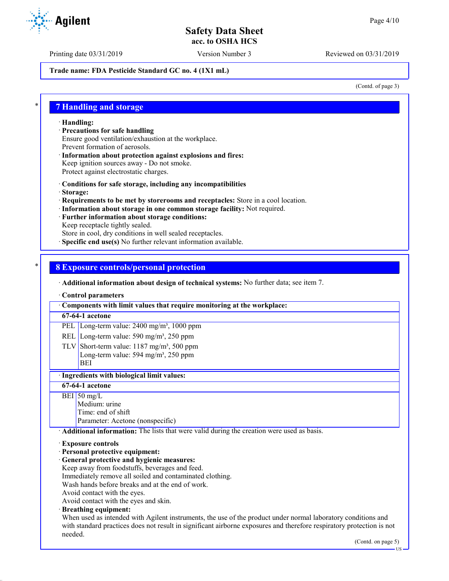Printing date 03/31/2019 Version Number 3 Reviewed on 03/31/2019

## **Trade name: FDA Pesticide Standard GC no. 4 (1X1 mL)**

(Contd. of page 3)

## \* **7 Handling and storage**

· **Handling:**

- · **Precautions for safe handling** Ensure good ventilation/exhaustion at the workplace. Prevent formation of aerosols.
- · **Information about protection against explosions and fires:** Keep ignition sources away - Do not smoke. Protect against electrostatic charges.
- · **Conditions for safe storage, including any incompatibilities**
- · **Storage:**
- · **Requirements to be met by storerooms and receptacles:** Store in a cool location.
- · **Information about storage in one common storage facility:** Not required.
- · **Further information about storage conditions:**
- Keep receptacle tightly sealed.

Store in cool, dry conditions in well sealed receptacles.

· **Specific end use(s)** No further relevant information available.

## \* **8 Exposure controls/personal protection**

· **Additional information about design of technical systems:** No further data; see item 7.

### · **Control parameters**

· **Components with limit values that require monitoring at the workplace:**

### **67-64-1 acetone**

PEL Long-term value: 2400 mg/m<sup>3</sup>, 1000 ppm

- REL Long-term value: 590 mg/m<sup>3</sup>, 250 ppm
- TLV Short-term value:  $1187 \text{ mg/m}^3$ , 500 ppm Long-term value: 594 mg/m<sup>3</sup>, 250 ppm BEI

## · **Ingredients with biological limit values:**

## **67-64-1 acetone**

 $BEI$  50 mg/L Medium: urine Time: end of shift Parameter: Acetone (nonspecific)

· **Additional information:** The lists that were valid during the creation were used as basis.

### · **Exposure controls**

- · **Personal protective equipment:**
- · **General protective and hygienic measures:**
- Keep away from foodstuffs, beverages and feed.
- Immediately remove all soiled and contaminated clothing.

Wash hands before breaks and at the end of work.

Avoid contact with the eyes.

Avoid contact with the eyes and skin.

· **Breathing equipment:**

When used as intended with Agilent instruments, the use of the product under normal laboratory conditions and with standard practices does not result in significant airborne exposures and therefore respiratory protection is not needed.

US

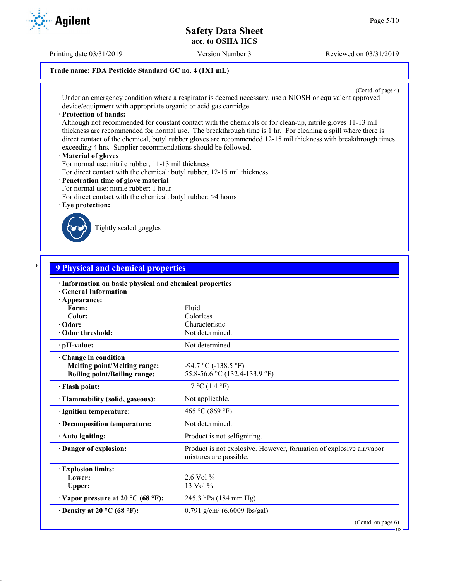US

# **Safety Data Sheet acc. to OSHA HCS**

## **Trade name: FDA Pesticide Standard GC no. 4 (1X1 mL)**

(Contd. of page 4) Under an emergency condition where a respirator is deemed necessary, use a NIOSH or equivalent approved device/equipment with appropriate organic or acid gas cartridge.

### · **Protection of hands:**

Although not recommended for constant contact with the chemicals or for clean-up, nitrile gloves 11-13 mil thickness are recommended for normal use. The breakthrough time is 1 hr. For cleaning a spill where there is direct contact of the chemical, butyl rubber gloves are recommended 12-15 mil thickness with breakthrough times exceeding 4 hrs. Supplier recommendations should be followed.

## · **Material of gloves**

For normal use: nitrile rubber, 11-13 mil thickness

For direct contact with the chemical: butyl rubber, 12-15 mil thickness

## · **Penetration time of glove material**

- For normal use: nitrile rubber: 1 hour
- For direct contact with the chemical: butyl rubber: >4 hours
- · **Eye protection:**



Tightly sealed goggles

| · Information on basic physical and chemical properties<br><b>General Information</b> |                                                                                               |
|---------------------------------------------------------------------------------------|-----------------------------------------------------------------------------------------------|
| $\cdot$ Appearance:                                                                   |                                                                                               |
| Form:                                                                                 | Fluid                                                                                         |
| Color:                                                                                | Colorless                                                                                     |
| · Odor:                                                                               | Characteristic                                                                                |
| Odor threshold:                                                                       | Not determined.                                                                               |
| $\cdot$ pH-value:                                                                     | Not determined.                                                                               |
| Change in condition                                                                   |                                                                                               |
| <b>Melting point/Melting range:</b>                                                   | $-94.7 \text{ °C}$ ( $-138.5 \text{ °F}$ )                                                    |
| <b>Boiling point/Boiling range:</b>                                                   | 55.8-56.6 °C (132.4-133.9 °F)                                                                 |
| · Flash point:                                                                        | $-17$ °C (1.4 °F)                                                                             |
| · Flammability (solid, gaseous):                                                      | Not applicable.                                                                               |
| · Ignition temperature:                                                               | 465 °C (869 °F)                                                                               |
| · Decomposition temperature:                                                          | Not determined.                                                                               |
| · Auto igniting:                                                                      | Product is not selfigniting.                                                                  |
| Danger of explosion:                                                                  | Product is not explosive. However, formation of explosive air/vapor<br>mixtures are possible. |
| <b>Explosion limits:</b>                                                              |                                                                                               |
| Lower:                                                                                | $2.6$ Vol %                                                                                   |
| Upper:                                                                                | 13 Vol %                                                                                      |
| $\cdot$ Vapor pressure at 20 °C (68 °F):                                              | 245.3 hPa (184 mm Hg)                                                                         |
| $\cdot$ Density at 20 °C (68 °F):                                                     | 0.791 g/cm <sup>3</sup> (6.6009 lbs/gal)                                                      |

Printing date 03/31/2019 Version Number 3 Reviewed on 03/31/2019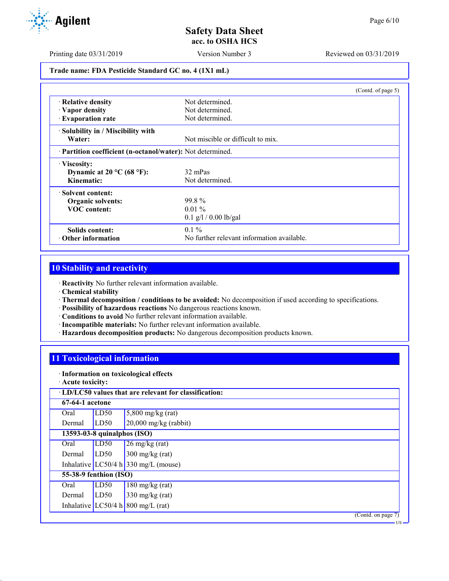Printing date 03/31/2019 Version Number 3 Reviewed on 03/31/2019

**Trade name: FDA Pesticide Standard GC no. 4 (1X1 mL)**

|                                                            | (Contd. of page 5)                         |  |
|------------------------------------------------------------|--------------------------------------------|--|
| · Relative density                                         | Not determined.                            |  |
| · Vapor density                                            | Not determined.                            |  |
| <b>Evaporation rate</b>                                    | Not determined.                            |  |
| · Solubility in / Miscibility with                         |                                            |  |
| Water:                                                     | Not miscible or difficult to mix.          |  |
| · Partition coefficient (n-octanol/water): Not determined. |                                            |  |
| · Viscosity:                                               |                                            |  |
| Dynamic at 20 $^{\circ}$ C (68 $^{\circ}$ F):              | 32 mPas                                    |  |
| Kinematic:                                                 | Not determined.                            |  |
| · Solvent content:                                         |                                            |  |
| <b>Organic solvents:</b>                                   | 99.8%                                      |  |
| <b>VOC</b> content:                                        | $0.01\%$                                   |  |
|                                                            | $0.1$ g/l / 0.00 lb/gal                    |  |
| Solids content:                                            | $0.1\%$                                    |  |
| $\cdot$ Other information                                  | No further relevant information available. |  |

# **10 Stability and reactivity**

· **Reactivity** No further relevant information available.

- · **Chemical stability**
- · **Thermal decomposition / conditions to be avoided:** No decomposition if used according to specifications.
- · **Possibility of hazardous reactions** No dangerous reactions known.
- · **Conditions to avoid** No further relevant information available.
- · **Incompatible materials:** No further relevant information available.
- · **Hazardous decomposition products:** No dangerous decomposition products known.

## **11 Toxicological information**

- · **Information on toxicological effects**
- · **Acute toxicity:**

| · LD/LC50 values that are relevant for classification: |                             |                                      |  |  |  |  |
|--------------------------------------------------------|-----------------------------|--------------------------------------|--|--|--|--|
| 67-64-1 acetone                                        |                             |                                      |  |  |  |  |
| Oral                                                   | LD50                        | $5,800$ mg/kg (rat)                  |  |  |  |  |
| Dermal                                                 | LD50                        | $20,000$ mg/kg (rabbit)              |  |  |  |  |
|                                                        | 13593-03-8 quinalphos (ISO) |                                      |  |  |  |  |
| Oral                                                   | LD50                        | $26 \text{ mg/kg}$ (rat)             |  |  |  |  |
| Dermal                                                 | LD50                        | $300 \text{ mg/kg}$ (rat)            |  |  |  |  |
|                                                        |                             | Inhalative LC50/4 h 330 mg/L (mouse) |  |  |  |  |
| 55-38-9 fenthion (ISO)                                 |                             |                                      |  |  |  |  |
| Oral                                                   | LD50                        | $180 \text{ mg/kg}$ (rat)            |  |  |  |  |
| Dermal                                                 | LD50                        | $330 \text{ mg/kg}$ (rat)            |  |  |  |  |
|                                                        |                             | Inhalative LC50/4 h 800 mg/L (rat)   |  |  |  |  |
|                                                        |                             | (Contd. on page 7)                   |  |  |  |  |

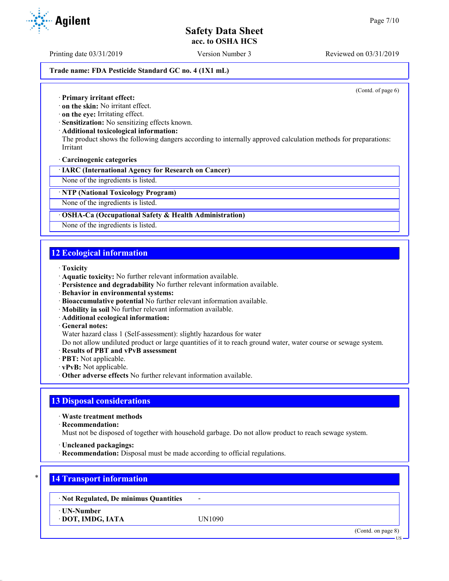Printing date 03/31/2019 Version Number 3 Reviewed on 03/31/2019

### **Trade name: FDA Pesticide Standard GC no. 4 (1X1 mL)**

(Contd. of page 6)

· **Primary irritant effect:**

· **on the skin:** No irritant effect.

· **on the eye:** Irritating effect.

· **Sensitization:** No sensitizing effects known.

· **Additional toxicological information:**

The product shows the following dangers according to internally approved calculation methods for preparations: Irritant

· **Carcinogenic categories**

· **IARC (International Agency for Research on Cancer)**

None of the ingredients is listed.

· **NTP (National Toxicology Program)**

None of the ingredients is listed.

## · **OSHA-Ca (Occupational Safety & Health Administration)**

None of the ingredients is listed.

## **12 Ecological information**

- · **Toxicity**
- · **Aquatic toxicity:** No further relevant information available.
- · **Persistence and degradability** No further relevant information available.
- · **Behavior in environmental systems:**
- · **Bioaccumulative potential** No further relevant information available.
- · **Mobility in soil** No further relevant information available.
- · **Additional ecological information:**
- · **General notes:**

Water hazard class 1 (Self-assessment): slightly hazardous for water

Do not allow undiluted product or large quantities of it to reach ground water, water course or sewage system.

- · **Results of PBT and vPvB assessment**
- · **PBT:** Not applicable.
- · **vPvB:** Not applicable.
- · **Other adverse effects** No further relevant information available.

## **13 Disposal considerations**

· **Waste treatment methods**

· **Recommendation:**

Must not be disposed of together with household garbage. Do not allow product to reach sewage system.

- · **Uncleaned packagings:**
- · **Recommendation:** Disposal must be made according to official regulations.

# \* **14 Transport information**

· **Not Regulated, De minimus Quantities** -

· **UN-Number**

· **DOT, IMDG, IATA** UN1090

(Contd. on page 8)



US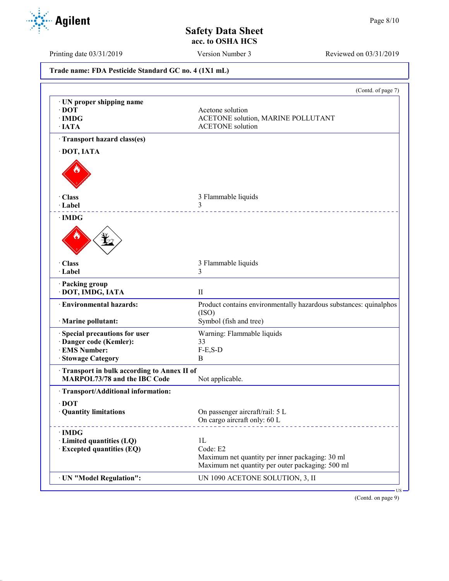

Printing date 03/31/2019 Version Number 3 Reviewed on 03/31/2019

**Trade name: FDA Pesticide Standard GC no. 4 (1X1 mL)** (Contd. of page 7) · **UN proper shipping name** · **DOT** Acetone solution · **IMDG** ACETONE solution, MARINE POLLUTANT · **IATA** ACETONE solution · **Transport hazard class(es)** · **DOT, IATA** · **Class** 3 Flammable liquids · **Label** 3 · **IMDG** · **Class** 3 Flammable liquids · **Label** 3 · **Packing group** · **DOT, IMDG, IATA** II · **Environmental hazards:** Product contains environmentally hazardous substances: quinalphos (ISO) · **Marine pollutant:** Symbol (fish and tree) · **Special precautions for user** Warning: Flammable liquids · **Danger code (Kemler):** 33 **EMS Number:** F-<br>Stowage Category **B · Stowage Category** · **Transport in bulk according to Annex II of MARPOL73/78 and the IBC Code** Not applicable. · **Transport/Additional information:** · **DOT** On passenger aircraft/rail: 5 L On cargo aircraft only: 60 L · **IMDG** · **Limited quantities (LQ)** 1L · **Excepted quantities (EQ)** Code: E2 Maximum net quantity per inner packaging: 30 ml Maximum net quantity per outer packaging: 500 ml · **UN "Model Regulation":** UN 1090 ACETONE SOLUTION, 3, II

(Contd. on page 9)

US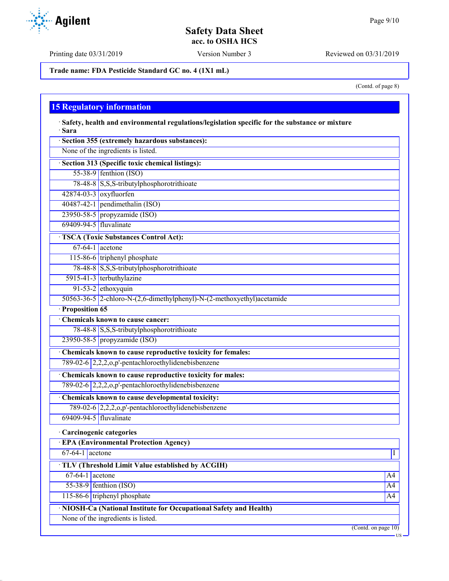Printing date 03/31/2019 Version Number 3 Reviewed on 03/31/2019

**Trade name: FDA Pesticide Standard GC no. 4 (1X1 mL)**

(Contd. of page 8)

US

# **15 Regulatory information**

· **Safety, health and environmental regulations/legislation specific for the substance or mixture** · **Sara**

|                        | Section 355 (extremely hazardous substances):                          |                |
|------------------------|------------------------------------------------------------------------|----------------|
|                        | None of the ingredients is listed.                                     |                |
|                        | · Section 313 (Specific toxic chemical listings):                      |                |
|                        | $55-38-9$ fenthion (ISO)                                               |                |
|                        | 78-48-8 S,S,S-tributylphosphorotrithioate                              |                |
|                        | 42874-03-3 oxyfluorfen                                                 |                |
|                        | $40487-42-1$ pendimethalin (ISO)                                       |                |
|                        | 23950-58-5 propyzamide (ISO)                                           |                |
| 69409-94-5 fluvalinate |                                                                        |                |
|                        | <b>TSCA (Toxic Substances Control Act):</b>                            |                |
|                        | $67-64-1$ acetone                                                      |                |
|                        | 115-86-6 triphenyl phosphate                                           |                |
|                        | 78-48-8 S,S,S-tributylphosphorotrithioate                              |                |
|                        | 5915-41-3 terbuthylazine                                               |                |
|                        | 91-53-2 ethoxyquin                                                     |                |
|                        | 50563-36-5 2-chloro-N-(2,6-dimethylphenyl)-N-(2-methoxyethyl)acetamide |                |
| · Proposition 65       |                                                                        |                |
|                        | Chemicals known to cause cancer:                                       |                |
|                        | 78-48-8 S,S,S-tributylphosphorotrithioate                              |                |
|                        | 23950-58-5 propyzamide (ISO)                                           |                |
|                        | Chemicals known to cause reproductive toxicity for females:            |                |
|                        | 789-02-6 2,2,2,0,p'-pentachloroethylidenebisbenzene                    |                |
|                        | Chemicals known to cause reproductive toxicity for males:              |                |
|                        | 789-02-6 2,2,2,0,p'-pentachloroethylidenebisbenzene                    |                |
|                        | Chemicals known to cause developmental toxicity:                       |                |
|                        | 789-02-6 2,2,2,0,p'-pentachloroethylidenebisbenzene                    |                |
| 69409-94-5 fluvalinate |                                                                        |                |
|                        | · Carcinogenic categories                                              |                |
|                        | <b>EPA (Environmental Protection Agency)</b>                           |                |
| $67-64-1$ acetone      |                                                                        | $\overline{I}$ |
|                        | TLV (Threshold Limit Value established by ACGIH)                       |                |
| $67-64-1$ acetone      |                                                                        | A4             |
|                        | $55-38-9$ fenthion (ISO)                                               | A4             |
|                        | 115-86-6 triphenyl phosphate                                           | A4             |
|                        | · NIOSH-Ca (National Institute for Occupational Safety and Health)     |                |
|                        | None of the ingredients is listed.                                     |                |
|                        | $($ Contd. on page $10)$                                               |                |